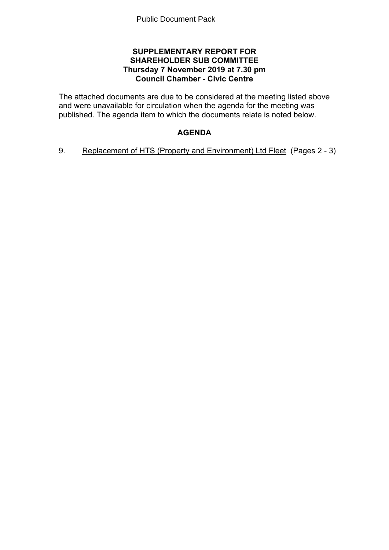## **SUPPLEMENTARY REPORT FOR SHAREHOLDER SUB COMMITTEE Thursday 7 November 2019 at 7.30 pm Council Chamber - Civic Centre**

The attached documents are due to be considered at the meeting listed above and were unavailable for circulation when the agenda for the meeting was published. The agenda item to which the documents relate is noted below.

# **AGENDA**

9. Replacement of HTS (Property and Environment) Ltd Fleet(Pages 2 - 3)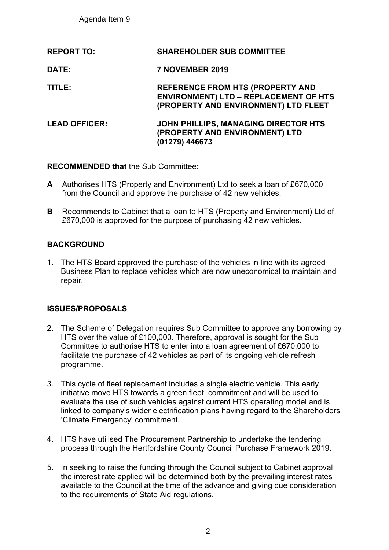Agenda Item 9

| <b>SHAREHOLDER SUB COMMITTEE</b>                                                                                                |
|---------------------------------------------------------------------------------------------------------------------------------|
| 7 NOVEMBER 2019                                                                                                                 |
| <b>REFERENCE FROM HTS (PROPERTY AND</b><br><b>ENVIRONMENT) LTD - REPLACEMENT OF HTS</b><br>(PROPERTY AND ENVIRONMENT) LTD FLEET |
| JOHN PHILLIPS, MANAGING DIRECTOR HTS<br>(PROPERTY AND ENVIRONMENT) LTD<br>(01279) 446673                                        |
|                                                                                                                                 |

**RECOMMENDED that** the Sub Committee**:**

- **A** Authorises HTS (Property and Environment) Ltd to seek a loan of £670,000 from the Council and approve the purchase of 42 new vehicles.
- **B** Recommends to Cabinet that a loan to HTS (Property and Environment) Ltd of £670,000 is approved for the purpose of purchasing 42 new vehicles.

# **BACKGROUND**

1. The HTS Board approved the purchase of the vehicles in line with its agreed Business Plan to replace vehicles which are now uneconomical to maintain and repair.

# **ISSUES/PROPOSALS**

- 2. The Scheme of Delegation requires Sub Committee to approve any borrowing by HTS over the value of £100,000. Therefore, approval is sought for the Sub Committee to authorise HTS to enter into a loan agreement of £670,000 to facilitate the purchase of 42 vehicles as part of its ongoing vehicle refresh programme.
- 3. This cycle of fleet replacement includes a single electric vehicle. This early initiative move HTS towards a green fleet commitment and will be used to evaluate the use of such vehicles against current HTS operating model and is linked to company's wider electrification plans having regard to the Shareholders 'Climate Emergency' commitment.
- 4. HTS have utilised The Procurement Partnership to undertake the tendering process through the Hertfordshire County Council Purchase Framework 2019.
- 5. In seeking to raise the funding through the Council subject to Cabinet approval the interest rate applied will be determined both by the prevailing interest rates available to the Council at the time of the advance and giving due consideration to the requirements of State Aid regulations.